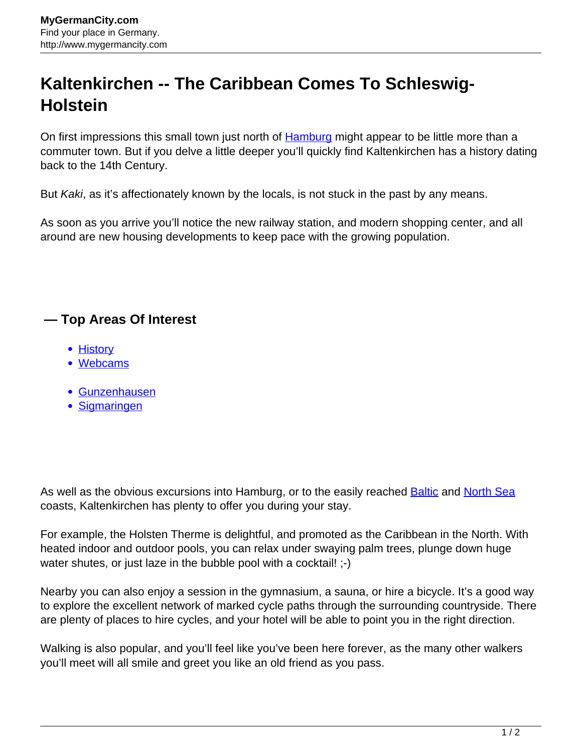## **Kaltenkirchen -- The Caribbean Comes To Schleswig-Holstein**

On first impressions this small town just north of **[Hamburg](http://www.mygermancity.com/hamburg)** might appear to be little more than a commuter town. But if you delve a little deeper you'll quickly find Kaltenkirchen has a history dating back to the 14th Century.

But Kaki, as it's affectionately known by the locals, is not stuck in the past by any means.

As soon as you arrive you'll notice the new railway station, and modern shopping center, and all around are new housing developments to keep pace with the growing population.

## **— Top Areas Of Interest**

- [History](http://www.mygermancity.com/leipzig-history)
- [Webcams](http://www.mygermancity.com/neustadt-holstein-webcams)
- [Gunzenhausen](http://www.mygermancity.com/gunzenhausen)
- [Sigmaringen](http://www.mygermancity.com/sigmaringen)

As well as the obvious excursions into Hamburg, or to the easily reached [Baltic](http://www.mygermancity.com/baltic-sea) and [North Sea](http://www.mygermancity.com/north-sea) coasts, Kaltenkirchen has plenty to offer you during your stay.

For example, the Holsten Therme is delightful, and promoted as the Caribbean in the North. With heated indoor and outdoor pools, you can relax under swaying palm trees, plunge down huge water shutes, or just laze in the bubble pool with a cocktail! ;-)

Nearby you can also enjoy a session in the gymnasium, a sauna, or hire a bicycle. It's a good way to explore the excellent network of marked cycle paths through the surrounding countryside. There are plenty of places to hire cycles, and your hotel will be able to point you in the right direction.

Walking is also popular, and you'll feel like you've been here forever, as the many other walkers you'll meet will all smile and greet you like an old friend as you pass.